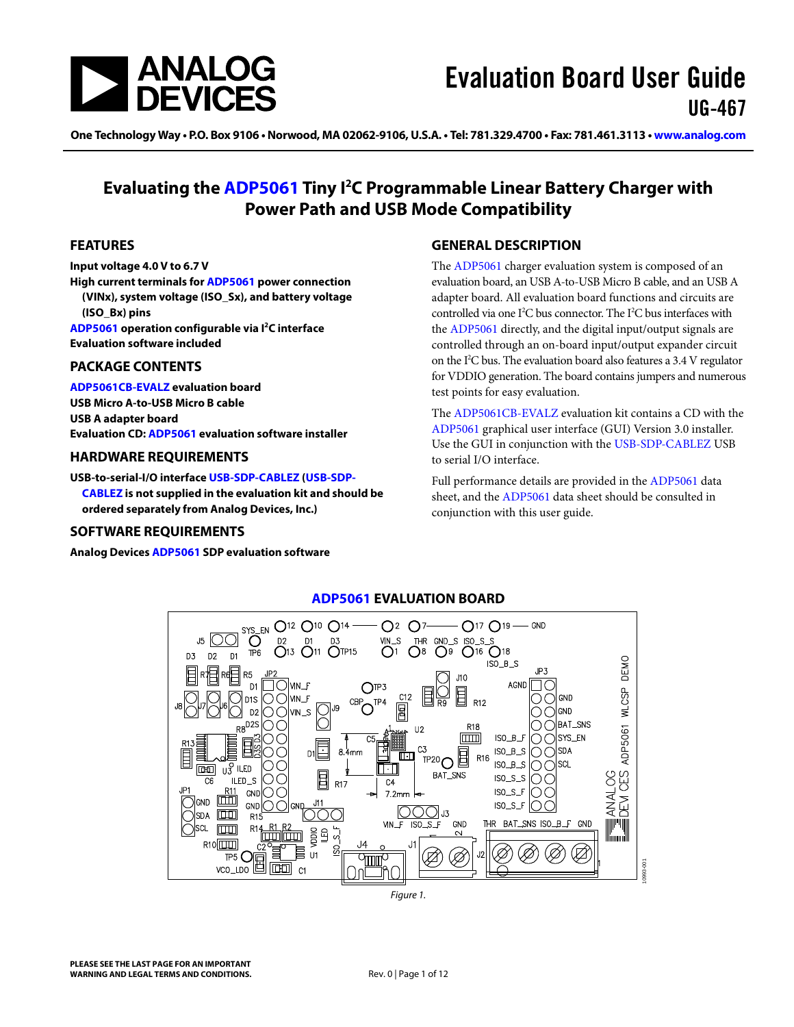

One Technology Way • P.O. Box 9106 • Norwood, MA 02062-9106, U.S.A. • Tel: 781.329.4700 • Fax: 781.461.3113 • [www.analog.com](http://www.analog.com)

### **Evaluating the [ADP5061](http://www.analog.com/ADP5061) Tiny I2 C Programmable Linear Battery Charger with Power Path and USB Mode Compatibility**

#### <span id="page-0-0"></span>**FEATURES**

**Input voltage 4.0 V to 6.7 V** 

**High current terminals fo[r ADP5061](http://www.analog.com/ADP5061) power connection (VINx), system voltage (ISO\_Sx), and battery voltage (ISO\_Bx) pins [ADP5061](http://www.analog.com/ADP5061) operation configurable via I2 C interface**

**Evaluation software included**

#### <span id="page-0-1"></span>**PACKAGE CONTENTS**

**[ADP5061CB-EVALZ](http://www.analog.com/ADP5061) evaluation board USB Micro A-to-USB Micro B cable USB A adapter board Evaluation CD[: ADP5061](http://www.analog.com/ADP5061) evaluation software installer**

#### <span id="page-0-2"></span>**HARDWARE REQUIREMENTS**

**USB-to-serial-I/O interfac[e USB-SDP-CABLEZ \(USB-SDP-](http://www.analog.com/USB-SDP-CABLEZ)[CABLEZ](http://www.analog.com/USB-SDP-CABLEZ) is not supplied in the evaluation kit and should be ordered separately from Analog Devices, Inc.)** 

#### <span id="page-0-3"></span>**SOFTWARE REQUIREMENTS**

<span id="page-0-5"></span>**Analog Device[s ADP5061](http://www.analog.com/ADP5061) SDP evaluation software**

#### <span id="page-0-4"></span>**GENERAL DESCRIPTION**

The [ADP5061](http://www.analog.com/ADP5061) charger evaluation system is composed of an evaluation board, an USB A-to-USB Micro B cable, and an USB A adapter board. All evaluation board functions and circuits are controlled via one I<sup>2</sup>C bus connector. The I<sup>2</sup>C bus interfaces with the [ADP5061](http://www.analog.com/ADP5061) directly, and the digital input/output signals are controlled through an on-board input/output expander circuit on the I<sup>2</sup>C bus. The evaluation board also features a 3.4 V regulator for VDDIO generation. The board contains jumpers and numerous test points for easy evaluation.

The [ADP5061CB-EVALZ](http://www.analog.com/ADP5061) evaluation kit contains a CD with the [ADP5061](http://www.analog.com/ADP5061) graphical user interface (GUI) Version 3.0 installer. Use the GUI in conjunction with the [USB-SDP-CABLEZ](http://www.analog.com/USB-SDP-CABLEZ) USB to serial I/O interface.

Full performance details are provided in th[e ADP5061](http://www.analog.com/ADP5061) data sheet, and th[e ADP5061](http://www.analog.com/ADP5061) data sheet should be consulted in conjunction with this user guide.



**[ADP5061](http://www.analog.com/ADP5061) EVALUATION BOARD** 

*Figure 1.*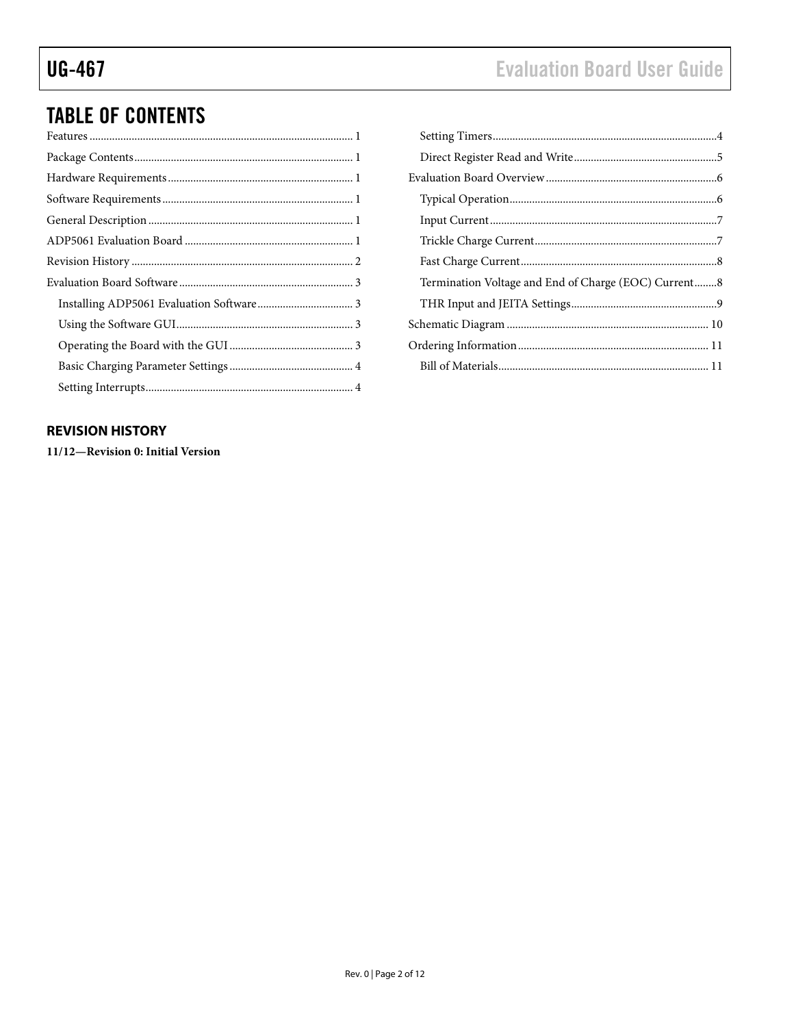# **Evaluation Board User Guide**

# **TABLE OF CONTENTS**

### <span id="page-1-0"></span>**REVISION HISTORY**

11/12-Revision 0: Initial Version

| Termination Voltage and End of Charge (EOC) Current8 |  |
|------------------------------------------------------|--|
|                                                      |  |
|                                                      |  |
|                                                      |  |
|                                                      |  |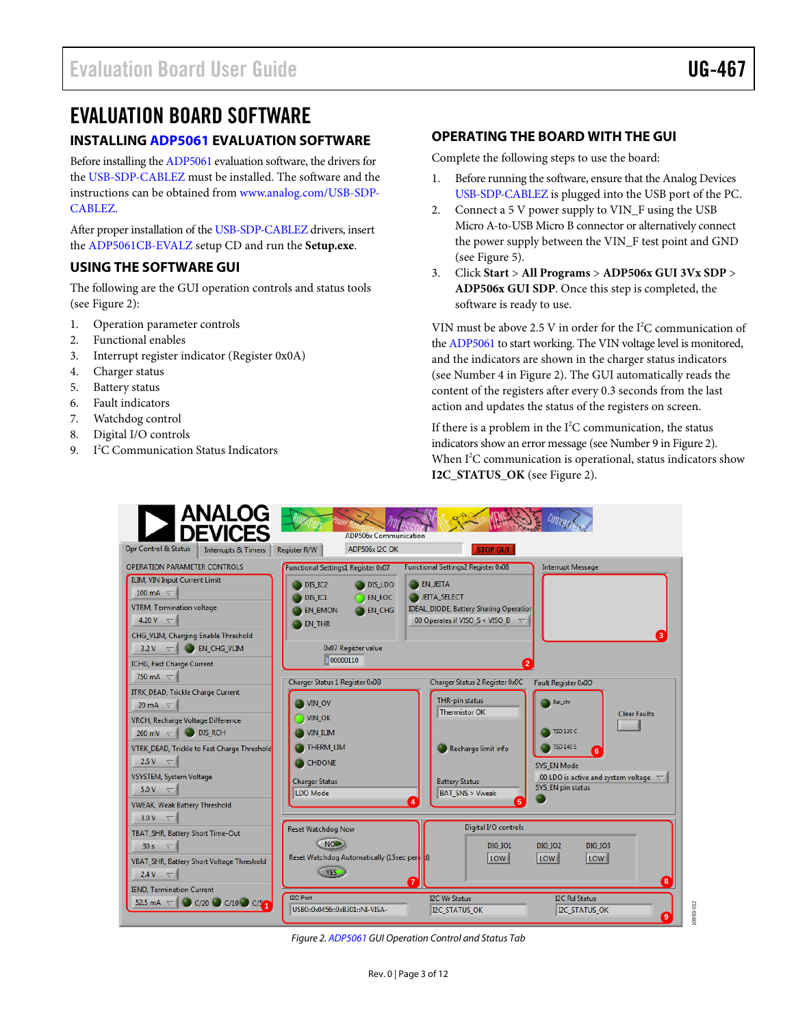### <span id="page-2-0"></span>EVALUATION BOARD SOFTWARE

### <span id="page-2-1"></span>**INSTALLIN[G ADP5061](http://www.analog.com/ADP5061) EVALUATION SOFTWARE**

Before installing th[e ADP5061](http://www.analog.com/ADP5061) evaluation software, the drivers for the [USB-SDP-CABLEZ](http://www.analog.com/usb-sdp-cablez) must be installed. The software and the instructions can be obtained from [www.analog.com/USB-SDP-](http://www.analog.com/USB-SDP-CABLEZ)[CABLEZ.](http://www.analog.com/USB-SDP-CABLEZ) 

After proper installation of th[e USB-SDP-CABLEZ](http://www.analog.com/usb-sdp-cablez) drivers, insert the [ADP5061CB-EVALZ](http://www.analog.com/ADP5061) setup CD and run the **Setup.exe**.

#### <span id="page-2-2"></span>**USING THE SOFTWARE GUI**

The following are the GUI operation controls and status tools (see [Figure 2\)](#page-2-4):

- 1. Operation parameter controls
- 2. Functional enables
- 3. Interrupt register indicator (Register 0x0A)
- 4. Charger status
- 5. Battery status
- 6. Fault indicators
- 7. Watchdog control
- 8. Digital I/O controls
- 9. I 2 C Communication Status Indicators

#### <span id="page-2-3"></span>**OPERATING THE BOARD WITH THE GUI**

Complete the following steps to use the board:

- 1. Before running the software, ensure that the Analog Devices [USB-SDP-CABLEZ](http://www.analog.com/usb-sdp-cablez) is plugged into the USB port of the PC.
- 2. Connect a 5 V power supply to VIN\_F using the USB Micro A-to-USB Micro B connector or alternatively connect the power supply between the VIN\_F test point and GND (see [Figure 5\)](#page-5-2).
- 3. Click **Start** > **All Programs** > **ADP506x GUI 3Vx SDP** > **ADP506x GUI SDP**. Once this step is completed, the software is ready to use.

VIN must be above 2.5 V in order for the  $I^2C$  communication of the [ADP5061](http://www.analog.com/ADP5061) to start working. The VIN voltage level is monitored, and the indicators are shown in the charger status indicators (see Number 4 in [Figure 2\)](#page-2-4). The GUI automatically reads the content of the registers after every 0.3 seconds from the last action and updates the status of the registers on screen.

If there is a problem in the  $I^2C$  communication, the status indicators show an error message (see Number 9 i[n Figure 2\)](#page-2-4). When I<sup>2</sup>C communication is operational, status indicators show **I2C\_STATUS\_OK** (see [Figure 2\)](#page-2-4).



<span id="page-2-4"></span>*Figure 2[. ADP5061](http://www.analog.com/ADP5061) GUI Operation Control and Status Tab*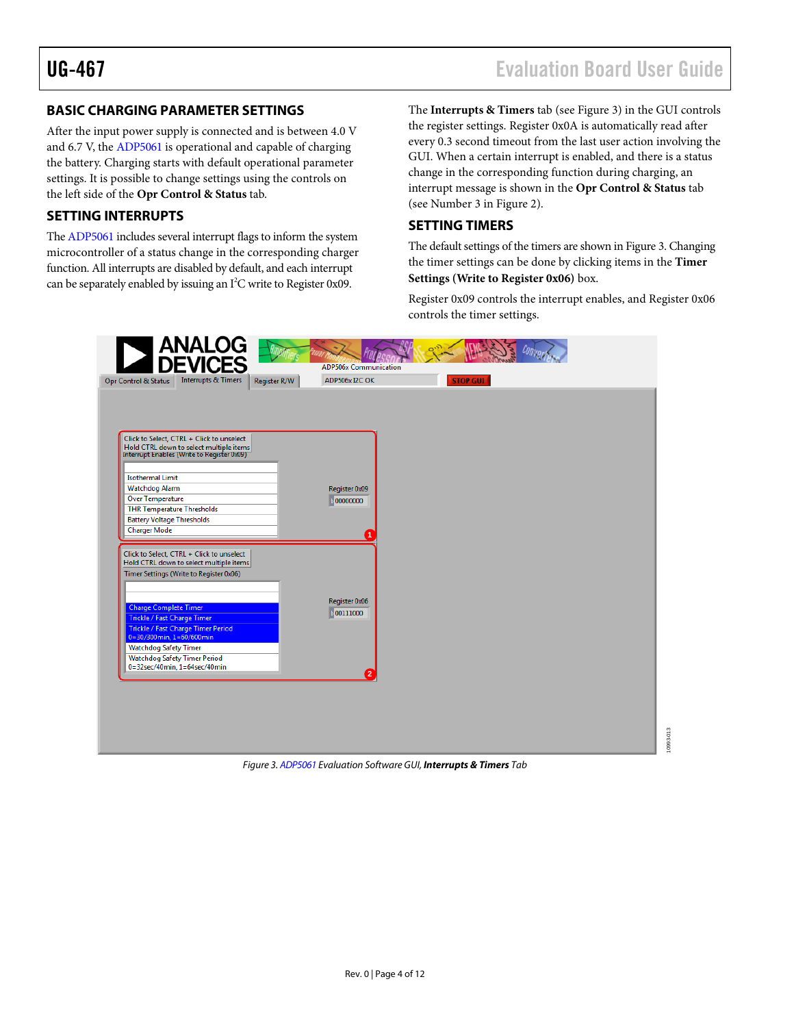10993-013

993-013

#### <span id="page-3-0"></span>**BASIC CHARGING PARAMETER SETTINGS**

After the input power supply is connected and is between 4.0 V and 6.7 V, th[e ADP5061](http://www.analog.com/ADP5061) is operational and capable of charging the battery. Charging starts with default operational parameter settings. It is possible to change settings using the controls on the left side of the **Opr Control & Status** tab.

#### <span id="page-3-1"></span>**SETTING INTERRUPTS**

Th[e ADP5061](http://www.analog.com/ADP5061) includes several interrupt flags to inform the system microcontroller of a status change in the corresponding charger function. All interrupts are disabled by default, and each interrupt can be separately enabled by issuing an  $I^2C$  write to Register 0x09.

The **Interrupts & Timers** tab (se[e Figure 3\)](#page-3-3) in the GUI controls the register settings. Register 0x0A is automatically read after every 0.3 second timeout from the last user action involving the GUI. When a certain interrupt is enabled, and there is a status change in the corresponding function during charging, an interrupt message is shown in the **Opr Control & Status** tab (see Number 3 in [Figure 2\)](#page-2-4).

#### <span id="page-3-2"></span>**SETTING TIMERS**

The default settings of the timers are shown in [Figure 3.](#page-3-3) Changing the timer settings can be done by clicking items in the **Timer Settings (Write to Register 0x06)** box.

Register 0x09 controls the interrupt enables, and Register 0x06 controls the timer settings.

<span id="page-3-3"></span>

*Figure 3[. ADP5061 E](http://www.analog.com/ADP5061)valuation Software GUI, Interrupts & Timers Tab*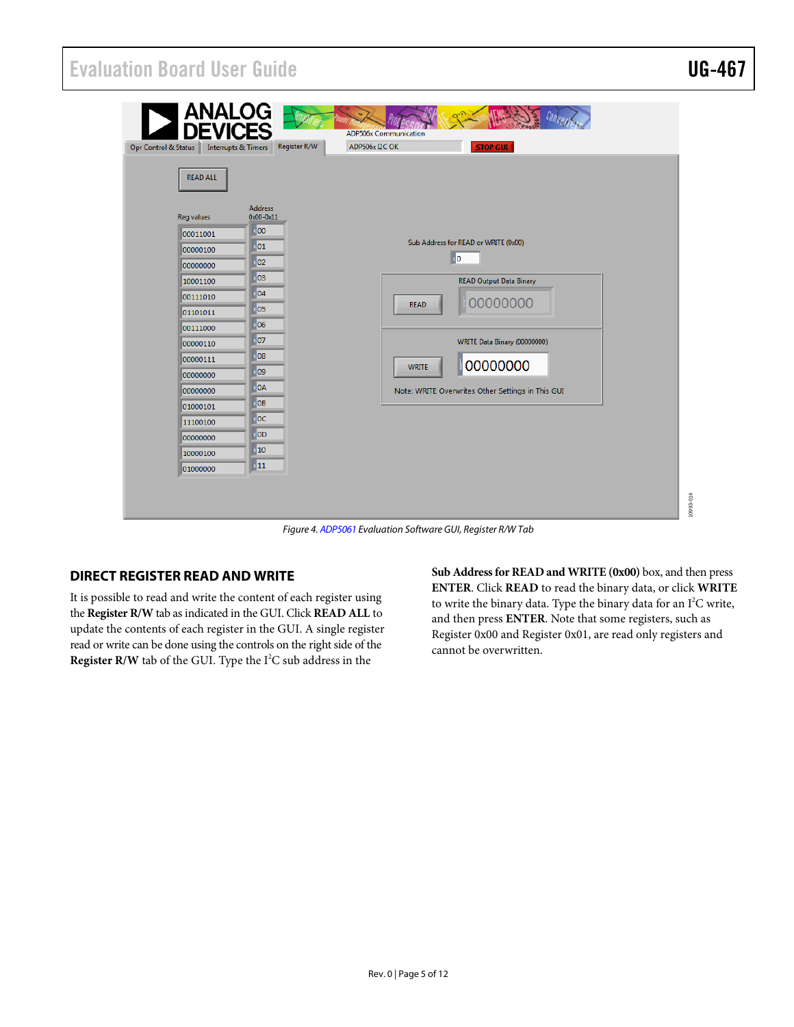## Evaluation Board User Guide Communication Control of the UG-467

| <b>ANALOG</b><br><b>DEVK</b><br>Opr Control & Status<br><b>Interrupts &amp; Timers</b>                                                                                                                                               | Register R/W                                                                                                                                                                                   | <b>ADP506x Communication</b><br>ADP506x I2C OK<br><b>STOP GUI</b>                                                                                                                                                       |  |  |  |  |  |
|--------------------------------------------------------------------------------------------------------------------------------------------------------------------------------------------------------------------------------------|------------------------------------------------------------------------------------------------------------------------------------------------------------------------------------------------|-------------------------------------------------------------------------------------------------------------------------------------------------------------------------------------------------------------------------|--|--|--|--|--|
| <b>READ ALL</b><br><b>Reg values</b><br>00011001<br>00000100<br>00000000<br>10001100<br>00111010<br>01101011<br>00111000<br>00000110<br>00000111<br>00000000<br>00000000<br>01000101<br>11100100<br>00000000<br>10000100<br>01000000 | <b>Address</b><br>$0x00 - 0x11$<br> 00 <br>01<br>02<br>$\overline{103}$<br>04<br>05<br>06<br> 07 <br>08<br>09<br><b>OA</b><br>OB<br>$\overline{0}C$<br><b>OD</b><br>$\sqrt{10}$<br>$\times$ 11 | Sub Address for READ or WRITE (0x00)<br>0<br><b>READ Output Data Binary</b><br>00000000<br><b>READ</b><br>WRITE Data Binary (00000000)<br>00000000<br><b>WRITE</b><br>Note: WRITE Overwrites Other Settings in This GUI |  |  |  |  |  |
|                                                                                                                                                                                                                                      | $F: \ldots$ ADDEACA $F: \ldots$ is a $G: \mathcal{L}: \ldots$ $G: \mathcal{U} \to \ldots$                                                                                                      |                                                                                                                                                                                                                         |  |  |  |  |  |

*Figure 4[. ADP5061](http://www.analog.com/ADP5061) Evaluation Software GUI, Register R/W Tab*

#### <span id="page-4-0"></span>**DIRECT REGISTER READ AND WRITE**

It is possible to read and write the content of each register using the **Register R/W** tab as indicated in the GUI. Click **READ ALL** to update the contents of each register in the GUI. A single register read or write can be done using the controls on the right side of the **Register R/W** tab of the GUI. Type the I<sup>2</sup>C sub address in the

**Sub Address for READ and WRITE (0x00)** box, and then press **ENTER**. Click **READ** to read the binary data, or click **WRITE** to write the binary data. Type the binary data for an  $I^2C$  write, and then press **ENTER**. Note that some registers, such as Register 0x00 and Register 0x01, are read only registers and cannot be overwritten.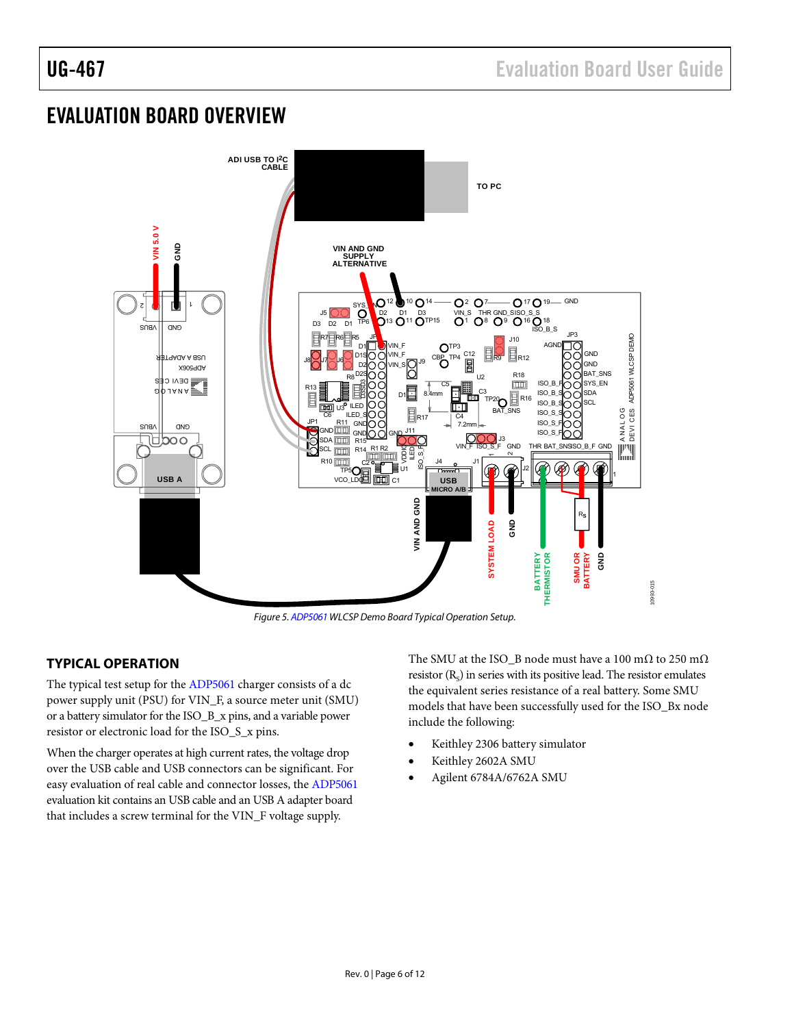## <span id="page-5-0"></span>EVALUATION BOARD OVERVIEW



*Figure 5[. ADP5061](http://www.analog.com/ADP5061) WLCSP Demo Board Typical Operation Setup.*

### <span id="page-5-2"></span><span id="page-5-1"></span>**TYPICAL OPERATION**

The typical test setup for th[e ADP5061](http://www.analog.com/ADP5061) charger consists of a dc power supply unit (PSU) for VIN\_F, a source meter unit (SMU) or a battery simulator for the ISO\_B\_x pins, and a variable power resistor or electronic load for the ISO\_S\_x pins.

When the charger operates at high current rates, the voltage drop over the USB cable and USB connectors can be significant. For easy evaluation of real cable and connector losses, th[e ADP5061](http://www.analog.com/ADP5061) evaluation kit contains an USB cable and an USB A adapter board that includes a screw terminal for the VIN\_F voltage supply.

The SMU at the ISO\_B node must have a 100 mΩ to 250 mΩ resistor  $(R_s)$  in series with its positive lead. The resistor emulates the equivalent series resistance of a real battery. Some SMU models that have been successfully used for the ISO\_Bx node include the following:

- Keithley 2306 battery simulator
- Keithley 2602A SMU
- Agilent 6784A/6762A SMU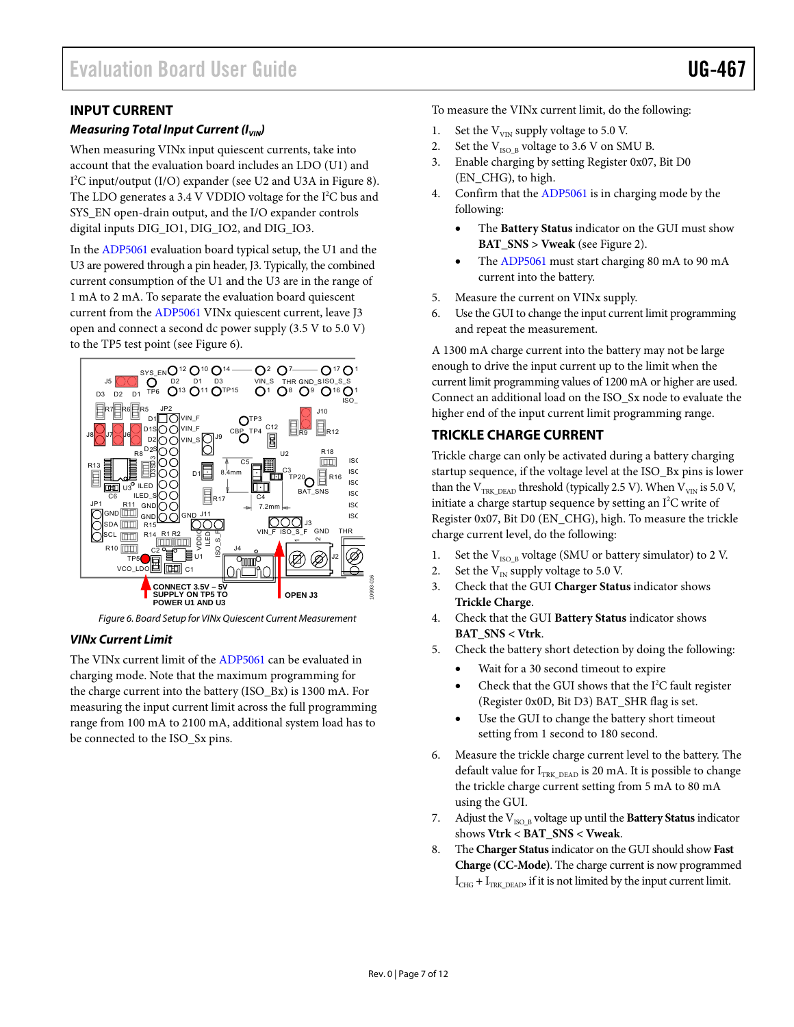#### <span id="page-6-0"></span>**INPUT CURRENT**

#### *Measuring Total Input Current (I<sub>VIN</sub>)*

When measuring VINx input quiescent currents, take into account that the evaluation board includes an LDO (U1) and I 2 C input/output (I/O) expander (see U2 and U3A i[n Figure 8\)](#page-9-1). The LDO generates a 3.4 V VDDIO voltage for the I<sup>2</sup>C bus and SYS\_EN open-drain output, and the I/O expander controls digital inputs DIG\_IO1, DIG\_IO2, and DIG\_IO3.

In th[e ADP5061](http://www.analog.com/ADP5061) evaluation board typical setup, the U1 and the U3 are powered through a pin header, J3. Typically, the combined current consumption of the U1 and the U3 are in the range of 1 mA to 2 mA. To separate the evaluation board quiescent current from th[e ADP5061](http://www.analog.com/ADP5061) VINx quiescent current, leave J3 open and connect a second dc power supply (3.5 V to 5.0 V) to the TP5 test point (see [Figure 6\)](#page-6-2).



*Figure 6. Board Setup for VINx Quiescent Current Measurement*

#### <span id="page-6-2"></span>*VINx Current Limit*

The VINx current limit of the [ADP5061](http://www.analog.com/ADP5061) can be evaluated in charging mode. Note that the maximum programming for the charge current into the battery (ISO\_Bx) is 1300 mA. For measuring the input current limit across the full programming range from 100 mA to 2100 mA, additional system load has to be connected to the ISO\_Sx pins.

To measure the VINx current limit, do the following:

- 1. Set the  $V_{VIN}$  supply voltage to 5.0 V.
- 2. Set the  $V_{ISO-B}$  voltage to 3.6 V on SMU B.
- 3. Enable charging by setting Register 0x07, Bit D0 (EN\_CHG), to high.
- 4. Confirm that th[e ADP5061](http://www.analog.com/ADP5061) is in charging mode by the following:
	- The **Battery Status** indicator on the GUI must show **BAT\_SNS > Vweak** (see [Figure 2\)](#page-2-4).
	- The [ADP5061](http://www.analog.com/ADP5061) must start charging 80 mA to 90 mA current into the battery.
- 5. Measure the current on VINx supply.
- 6. Use the GUI to change the input current limit programming and repeat the measurement.

A 1300 mA charge current into the battery may not be large enough to drive the input current up to the limit when the current limit programming values of 1200 mA or higher are used. Connect an additional load on the ISO\_Sx node to evaluate the higher end of the input current limit programming range.

#### <span id="page-6-1"></span>**TRICKLE CHARGE CURRENT**

Trickle charge can only be activated during a battery charging startup sequence, if the voltage level at the ISO\_Bx pins is lower than the  $\rm V_{TRK\_DEAD}$  threshold (typically 2.5 V). When  $\rm V_{VIN}$  is 5.0 V, initiate a charge startup sequence by setting an I 2 C write of Register 0x07, Bit D0 (EN\_CHG), high. To measure the trickle charge current level, do the following:

- 1. Set the  $V_{ISO_B}$  voltage (SMU or battery simulator) to 2 V.
- 2. Set the  $V_{IN}$  supply voltage to 5.0 V.
- 3. Check that the GUI **Charger Status** indicator shows **Trickle Charge**.
- 4. Check that the GUI **Battery Status** indicator shows **BAT\_SNS < Vtrk**.
- 5. Check the battery short detection by doing the following:
	- Wait for a 30 second timeout to expire
	- Check that the GUI shows that the  $I^2C$  fault register (Register 0x0D, Bit D3) BAT\_SHR flag is set.
	- Use the GUI to change the battery short timeout setting from 1 second to 180 second.
- 6. Measure the trickle charge current level to the battery. The default value for  $I_{TRK, DEAD}$  is 20 mA. It is possible to change the trickle charge current setting from 5 mA to 80 mA using the GUI.
- 7. Adjust the V<sub>ISO\_B</sub> voltage up until the **Battery Status** indicator shows **Vtrk < BAT\_SNS < Vweak**.
- 8. The **Charger Status**indicator on the GUI should show **Fast Charge (CC-Mode)**. The charge current is now programmed  $I_{CHG}$  +  $I_{TRK\ DEAD}$ , if it is not limited by the input current limit.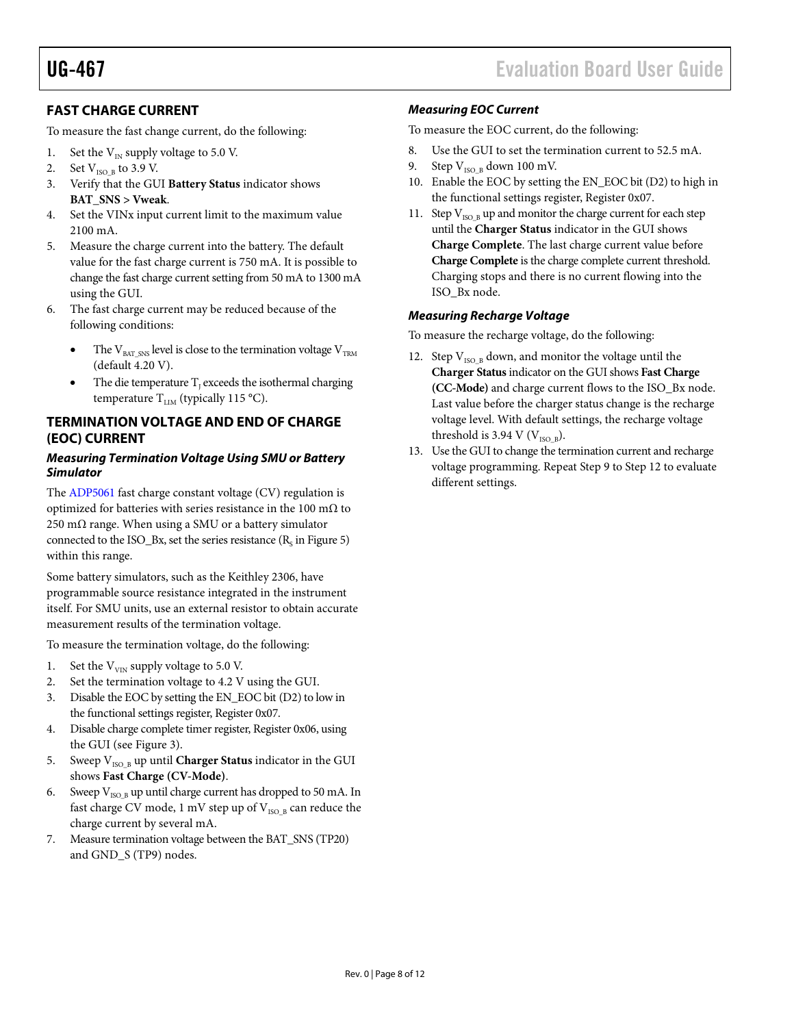### <span id="page-7-0"></span>**FAST CHARGE CURRENT**

To measure the fast change current, do the following:

- 1. Set the  $V_{IN}$  supply voltage to 5.0 V.
- 2. Set  $V_{ISO B}$  to 3.9 V.
- 3. Verify that the GUI **Battery Status** indicator shows **BAT\_SNS > Vweak**.
- 4. Set the VINx input current limit to the maximum value 2100 mA.
- 5. Measure the charge current into the battery. The default value for the fast charge current is 750 mA. It is possible to change the fast charge current setting from 50 mA to 1300 mA using the GUI.
- 6. The fast charge current may be reduced because of the following conditions:
	- The  $V_{BAT~SNS}$  level is close to the termination voltage  $V_{TRM}$ (default 4.20 V).
	- The die temperature  $T_1$  exceeds the isothermal charging temperature  $T_{LIM}$  (typically 115 °C).

### <span id="page-7-1"></span>**TERMINATION VOLTAGE AND END OF CHARGE (EOC) CURRENT**

#### *Measuring Termination Voltage Using SMU or Battery Simulator*

The [ADP5061](http://www.analog.com/ADP5061) fast charge constant voltage (CV) regulation is optimized for batteries with series resistance in the 100 m $\Omega$  to 250 m $\Omega$  range. When using a SMU or a battery simulator connected to the ISO\_Bx, set the series resistance  $(R<sub>s</sub>$  i[n Figure 5\)](#page-5-2) within this range.

Some battery simulators, such as the Keithley 2306, have programmable source resistance integrated in the instrument itself. For SMU units, use an external resistor to obtain accurate measurement results of the termination voltage.

To measure the termination voltage, do the following:

- 1. Set the  $V_{VIN}$  supply voltage to 5.0 V.
- 2. Set the termination voltage to 4.2 V using the GUI.
- 3. Disable the EOC by setting the EN\_EOC bit (D2) to low in the functional settings register, Register 0x07.
- 4. Disable charge complete timer register, Register 0x06, using the GUI (se[e Figure 3\)](#page-3-3).
- 5. Sweep  $V_{ISO-B}$  up until **Charger Status** indicator in the GUI shows **Fast Charge (CV-Mode)**.
- 6. Sweep  $V_{ISO~B}$  up until charge current has dropped to 50 mA. In fast charge CV mode, 1 mV step up of  $V_{ISO-B}$  can reduce the charge current by several mA.
- 7. Measure termination voltage between the BAT\_SNS (TP20) and GND\_S (TP9) nodes.

#### *Measuring EOC Current*

To measure the EOC current, do the following:

- 8. Use the GUI to set the termination current to 52.5 mA.
- 9. Step  $V_{ISO-B}$  down 100 mV.
- 10. Enable the EOC by setting the EN\_EOC bit (D2) to high in the functional settings register, Register 0x07.
- 11. Step  $V_{ISO-B}$  up and monitor the charge current for each step until the **Charger Status** indicator in the GUI shows **Charge Complete**. The last charge current value before **Charge Complete** is the charge complete current threshold. Charging stops and there is no current flowing into the ISO\_Bx node.

#### *Measuring Recharge Voltage*

To measure the recharge voltage, do the following:

- 12. Step  $V_{ISO-B}$  down, and monitor the voltage until the **Charger Status**indicator on the GUI shows **Fast Charge (CC-Mode)** and charge current flows to the ISO\_Bx node. Last value before the charger status change is the recharge voltage level. With default settings, the recharge voltage threshold is 3.94 V ( $V_{\text{ISO-B}}$ ).
- 13. Use the GUI to change the termination current and recharge voltage programming. Repeat Step 9 to Step 12 to evaluate different settings.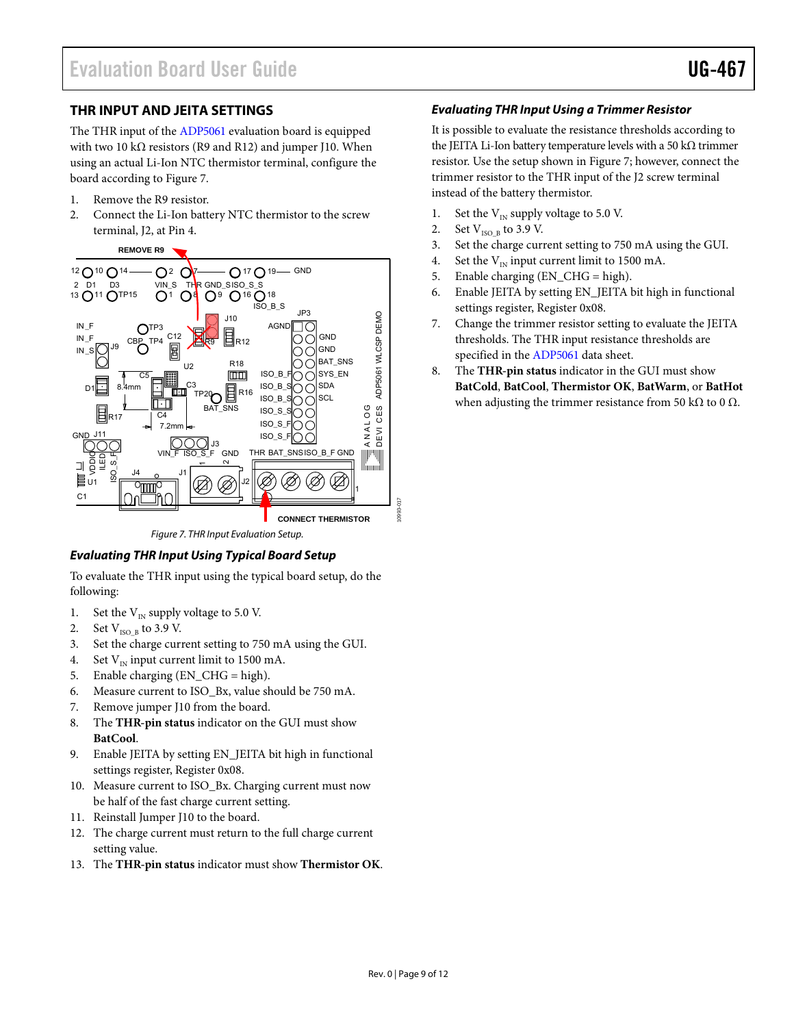#### <span id="page-8-0"></span>**THR INPUT AND JEITA SETTINGS**

The THR input of th[e ADP5061](http://www.analog.com/ADP5061) evaluation board is equipped with two 10 kΩ resistors (R9 and R12) and jumper J10. When using an actual Li-Ion NTC thermistor terminal, configure the board according to [Figure 7.](#page-8-1)

- 1. Remove the R9 resistor.
- 2. Connect the Li-Ion battery NTC thermistor to the screw terminal, J2, at Pin 4.



*Figure 7. THR Input Evaluation Setup.*

#### <span id="page-8-1"></span>*Evaluating THR Input Using Typical Board Setup*

To evaluate the THR input using the typical board setup, do the following:

- 1. Set the  $V_{IN}$  supply voltage to 5.0 V.
- 2. Set  $V_{ISO-B}$  to 3.9 V.
- 3. Set the charge current setting to 750 mA using the GUI.
- 4. Set  $V_{IN}$  input current limit to 1500 mA.
- 5. Enable charging (EN\_CHG = high).
- 6. Measure current to ISO\_Bx, value should be 750 mA.
- 7. Remove jumper J10 from the board.
- 8. The **THR-pin status** indicator on the GUI must show **BatCool**.
- 9. Enable JEITA by setting EN\_JEITA bit high in functional settings register, Register 0x08.
- 10. Measure current to ISO\_Bx. Charging current must now be half of the fast charge current setting.
- 11. Reinstall Jumper J10 to the board.
- 12. The charge current must return to the full charge current setting value.
- 13. The **THR-pin status** indicator must show **Thermistor OK**.

#### *Evaluating THR Input Using a Trimmer Resistor*

It is possible to evaluate the resistance thresholds according to the JEITA Li-Ion battery temperature levels with a 50 kΩ trimmer resistor. Use the setup shown i[n Figure 7;](#page-8-1) however, connect the trimmer resistor to the THR input of the J2 screw terminal instead of the battery thermistor.

- 1. Set the  $V_{IN}$  supply voltage to 5.0 V.
- 2. Set  $V_{ISO B}$  to 3.9 V.
- 3. Set the charge current setting to 750 mA using the GUI.
- 4. Set the  $V_{\text{IN}}$  input current limit to 1500 mA.
- 5. Enable charging (EN\_CHG = high).
- 6. Enable JEITA by setting EN\_JEITA bit high in functional settings register, Register 0x08.
- 7. Change the trimmer resistor setting to evaluate the JEITA thresholds. The THR input resistance thresholds are specified in the [ADP5061 d](http://www.analog.com/ADP5061)ata sheet.
- 8. The **THR-pin status** indicator in the GUI must show **BatCold**, **BatCool**, **Thermistor OK**, **BatWarm**, or **BatHot** when adjusting the trimmer resistance from 50 kΩ to 0  $Ω$ .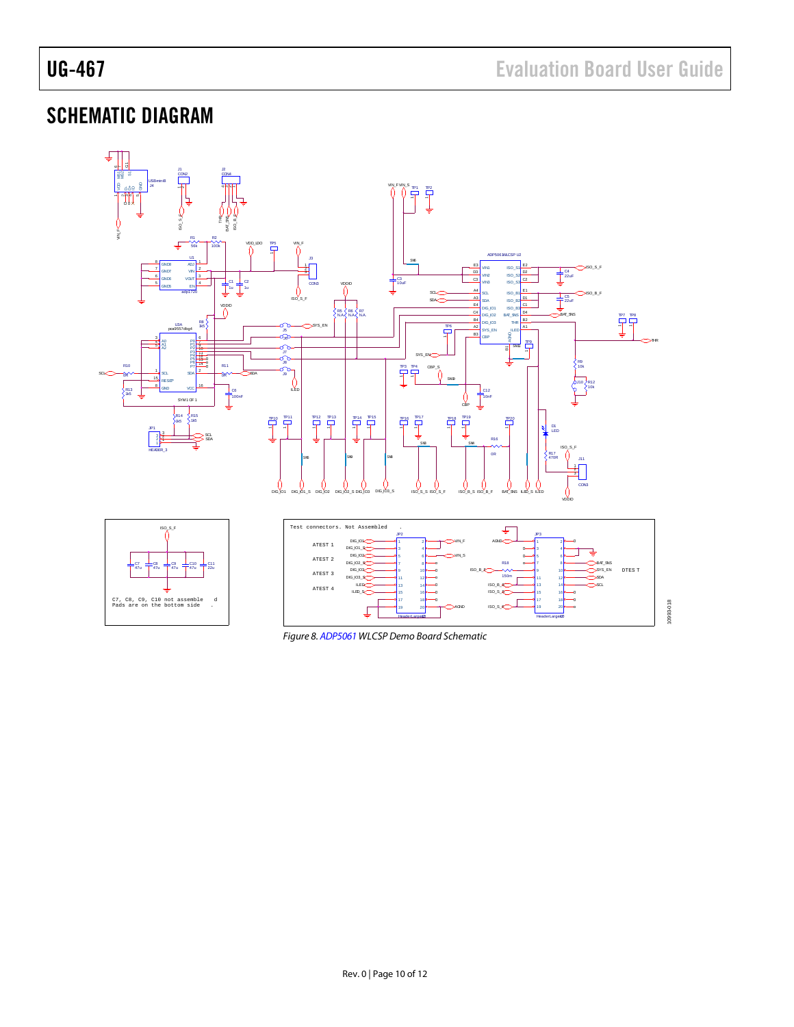## <span id="page-9-0"></span>SCHEMATIC DIAGRAM



<span id="page-9-1"></span>*Figure 8[. ADP5061](http://www.analog.com/ADP5061) WLCSP Demo Board Schematic*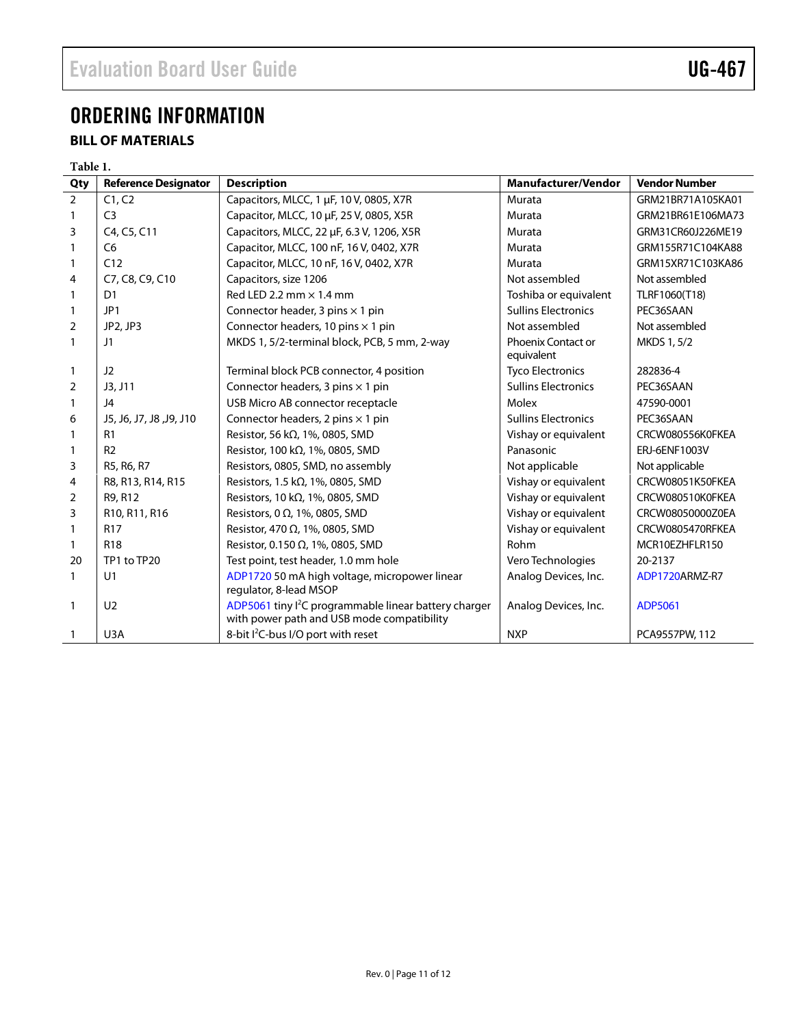## <span id="page-10-0"></span>ORDERING INFORMATION

### <span id="page-10-1"></span>**BILL OF MATERIALS**

#### **Table 1.**

| Qty            | <b>Reference Designator</b> | <b>Description</b>                                                                                            | <b>Manufacturer/Vendor</b>              | <b>Vendor Number</b> |
|----------------|-----------------------------|---------------------------------------------------------------------------------------------------------------|-----------------------------------------|----------------------|
| $\overline{2}$ | C1, C2                      | Capacitors, MLCC, 1 µF, 10 V, 0805, X7R<br>Murata                                                             |                                         | GRM21BR71A105KA01    |
| 1              | C <sub>3</sub>              | Capacitor, MLCC, 10 µF, 25 V, 0805, X5R                                                                       | Murata                                  | GRM21BR61E106MA73    |
| 3              | C4, C5, C11                 | Capacitors, MLCC, 22 µF, 6.3 V, 1206, X5R                                                                     | Murata                                  | GRM31CR60J226ME19    |
|                | C <sub>6</sub>              | Capacitor, MLCC, 100 nF, 16 V, 0402, X7R                                                                      | Murata                                  | GRM155R71C104KA88    |
| 1              | C12                         | Capacitor, MLCC, 10 nF, 16 V, 0402, X7R                                                                       | Murata                                  | GRM15XR71C103KA86    |
| 4              | C7, C8, C9, C10             | Capacitors, size 1206                                                                                         | Not assembled                           | Not assembled        |
| 1              | D <sub>1</sub>              | Red LED 2.2 mm $\times$ 1.4 mm                                                                                | Toshiba or equivalent                   | TLRF1060(T18)        |
| $\mathbf{1}$   | JP1                         | Connector header, 3 pins $\times$ 1 pin                                                                       | <b>Sullins Electronics</b>              | PEC36SAAN            |
| $\overline{2}$ | JP2, JP3                    | Connector headers, 10 pins $\times$ 1 pin                                                                     | Not assembled                           | Not assembled        |
| 1              | J1                          | MKDS 1, 5/2-terminal block, PCB, 5 mm, 2-way                                                                  | <b>Phoenix Contact or</b><br>equivalent | MKDS 1, 5/2          |
| 1              | J2                          | Terminal block PCB connector, 4 position                                                                      | <b>Tyco Electronics</b>                 | 282836-4             |
| $\overline{2}$ | J3, J11                     | Connector headers, 3 pins $\times$ 1 pin                                                                      | <b>Sullins Electronics</b>              | PEC36SAAN            |
| $\mathbf{1}$   | J <sub>4</sub>              | USB Micro AB connector receptacle                                                                             | Molex                                   | 47590-0001           |
| 6              | J5, J6, J7, J8, J9, J10     | Connector headers, 2 pins $\times$ 1 pin                                                                      | <b>Sullins Electronics</b>              | PEC36SAAN            |
| 1              | R <sub>1</sub>              | Resistor, 56 k $\Omega$ , 1%, 0805, SMD                                                                       | Vishay or equivalent                    | CRCW080556K0FKEA     |
|                | R <sub>2</sub>              | Resistor, 100 k $\Omega$ , 1%, 0805, SMD                                                                      | Panasonic                               | ERJ-6ENF1003V        |
| 3              | R5, R6, R7                  | Resistors, 0805, SMD, no assembly                                                                             | Not applicable                          | Not applicable       |
| 4              | R8, R13, R14, R15           | Resistors, 1.5 k $\Omega$ , 1%, 0805, SMD                                                                     | Vishay or equivalent                    | CRCW08051K50FKEA     |
| $\overline{2}$ | R9, R12                     | Resistors, 10 k $\Omega$ , 1%, 0805, SMD                                                                      | Vishay or equivalent                    | CRCW080510K0FKEA     |
| 3              | R10, R11, R16               | Resistors, 0 $\Omega$ , 1%, 0805, SMD                                                                         | Vishay or equivalent                    | CRCW08050000Z0EA     |
|                | <b>R17</b>                  | Resistor, 470 Ω, 1%, 0805, SMD                                                                                | Vishay or equivalent                    | CRCW0805470RFKEA     |
| 1              | <b>R18</b>                  | Resistor, 0.150 $\Omega$ , 1%, 0805, SMD                                                                      | Rohm                                    | MCR10EZHFLR150       |
| 20             | TP1 to TP20                 | Test point, test header, 1.0 mm hole                                                                          | Vero Technologies                       | 20-2137              |
| $\mathbf{1}$   | U <sub>1</sub>              | ADP1720 50 mA high voltage, micropower linear<br>regulator, 8-lead MSOP                                       | Analog Devices, Inc.                    | ADP1720ARMZ-R7       |
| $\mathbf{1}$   | U <sub>2</sub>              | ADP5061 tiny <sup>2</sup> C programmable linear battery charger<br>with power path and USB mode compatibility | Analog Devices, Inc.                    | ADP5061              |
| 1              | U3A                         | 8-bit I <sup>2</sup> C-bus I/O port with reset                                                                | <b>NXP</b>                              | PCA9557PW, 112       |